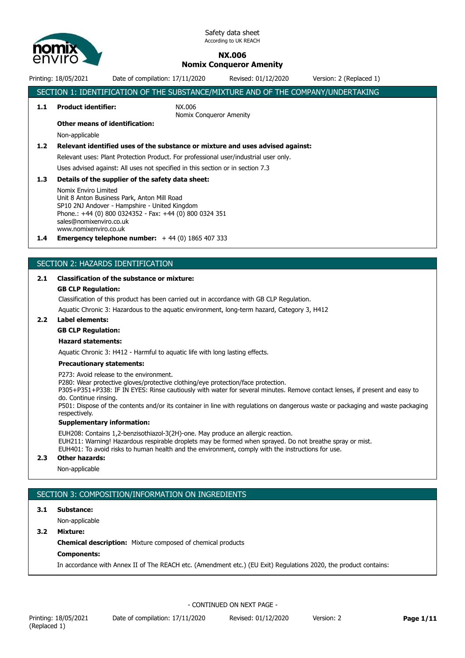

# **NX.006**

# **Nomix Conqueror Amenity**

Printing: 18/05/2021 Date of compilation: 17/11/2020 Revised: 01/12/2020 Version: 2 (Replaced 1)

# SECTION 1: IDENTIFICATION OF THE SUBSTANCE/MIXTURE AND OF THE COMPANY/UNDERTAKING **1.1 Product identifier:** NX.006 Nomix Conqueror Amenity **Other means of identification:** Non-applicable **1.2 Relevant identified uses of the substance or mixture and uses advised against:** Relevant uses: Plant Protection Product. For professional user/industrial user only. Uses advised against: All uses not specified in this section or in section 7.3 **1.3 Details of the supplier of the safety data sheet:** Nomix Enviro Limited Unit 8 Anton Business Park, Anton Mill Road SP10 2NJ Andover - Hampshire - United Kingdom Phone.: +44 (0) 800 0324352 - Fax: +44 (0) 800 0324 351 sales@nomixenviro.co.uk www.nomixenviro.co.uk **1.4 Emergency telephone number:** + 44 (0) 1865 407 333

# SECTION 2: HAZARDS IDENTIFICATION

#### **2.1 Classification of the substance or mixture:**

#### **GB CLP Regulation:**

Classification of this product has been carried out in accordance with GB CLP Regulation.

Aquatic Chronic 3: Hazardous to the aquatic environment, long-term hazard, Category 3, H412

#### **2.2 Label elements:**

#### **GB CLP Regulation:**

## **Hazard statements:**

Aquatic Chronic 3: H412 - Harmful to aquatic life with long lasting effects.

#### **Precautionary statements:**

P273: Avoid release to the environment.

P280: Wear protective gloves/protective clothing/eye protection/face protection.

P305+P351+P338: IF IN EYES: Rinse cautiously with water for several minutes. Remove contact lenses, if present and easy to do. Continue rinsing.

P501: Dispose of the contents and/or its container in line with regulations on dangerous waste or packaging and waste packaging respectively.

#### **Supplementary information:**

EUH208: Contains 1,2-benzisothiazol-3(2H)-one. May produce an allergic reaction. EUH211: Warning! Hazardous respirable droplets may be formed when sprayed. Do not breathe spray or mist. EUH401: To avoid risks to human health and the environment, comply with the instructions for use.

#### **2.3 Other hazards:**

Non-applicable

# SECTION 3: COMPOSITION/INFORMATION ON INGREDIENTS

#### **3.1 Substance:**

Non-applicable

#### **3.2 Mixture:**

**Chemical description:** Mixture composed of chemical products

#### **Components:**

In accordance with Annex II of The REACH etc. (Amendment etc.) (EU Exit) Regulations 2020, the product contains: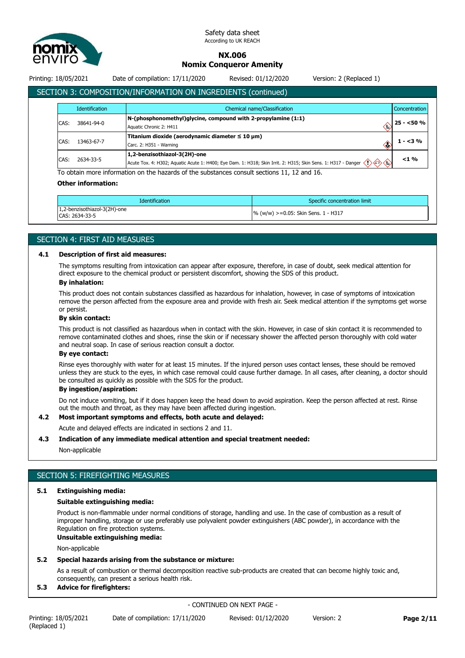

# **NX.006**

# **Nomix Conqueror Amenity**

Printing: 18/05/2021 Date of compilation: 17/11/2020 Revised: 01/12/2020 Version: 2 (Replaced 1)

# SECTION 3: COMPOSITION/INFORMATION ON INGREDIENTS (continued)

|      | <b>Identification</b><br>Chemical name/Classification<br>Concentration |                                                                                                                                                                                             |            |  |
|------|------------------------------------------------------------------------|---------------------------------------------------------------------------------------------------------------------------------------------------------------------------------------------|------------|--|
| CAS: | 38641-94-0                                                             | $N$ -(phosphonomethyl)glycine, compound with 2-propylamine (1:1)<br>Aquatic Chronic 2: H411                                                                                                 | $25 - 50%$ |  |
| CAS: | 13463-67-7                                                             | Titanium dioxide (aerodynamic diameter $\leq 10 \mu m$ )<br>Carc. 2: H351 - Warning                                                                                                         | $1 - 3\%$  |  |
| CAS: | 2634-33-5                                                              | 1,2-benzisothiazol-3(2H)-one<br>Acute Tox. 4: H302; Aquatic Acute 1: H400; Eye Dam. 1: H318; Skin Irrit. 2: H315; Skin Sens. 1: H317 - Danger $\langle$ $\rangle \langle$ $\leftrightarrow$ | $<$ 1 %    |  |

To obtain more information on the hazards of the substances consult sections 11, 12 and 16.

#### **Other information:**

| <b>Identification</b>                          | Specific concentration limit           |
|------------------------------------------------|----------------------------------------|
| 1,2-benzisothiazol-3(2H)-one<br>CAS: 2634-33-5 | $\%$ (w/w) >=0.05: Skin Sens. 1 - H317 |

### SECTION 4: FIRST AID MEASURES

#### **4.1 Description of first aid measures:**

The symptoms resulting from intoxication can appear after exposure, therefore, in case of doubt, seek medical attention for direct exposure to the chemical product or persistent discomfort, showing the SDS of this product.

#### **By inhalation:**

This product does not contain substances classified as hazardous for inhalation, however, in case of symptoms of intoxication remove the person affected from the exposure area and provide with fresh air. Seek medical attention if the symptoms get worse or persist.

#### **By skin contact:**

This product is not classified as hazardous when in contact with the skin. However, in case of skin contact it is recommended to remove contaminated clothes and shoes, rinse the skin or if necessary shower the affected person thoroughly with cold water and neutral soap. In case of serious reaction consult a doctor.

#### **By eye contact:**

Rinse eyes thoroughly with water for at least 15 minutes. If the injured person uses contact lenses, these should be removed unless they are stuck to the eyes, in which case removal could cause further damage. In all cases, after cleaning, a doctor should be consulted as quickly as possible with the SDS for the product.

## **By ingestion/aspiration:**

Do not induce vomiting, but if it does happen keep the head down to avoid aspiration. Keep the person affected at rest. Rinse out the mouth and throat, as they may have been affected during ingestion.

#### **4.2 Most important symptoms and effects, both acute and delayed:**

Acute and delayed effects are indicated in sections 2 and 11.

#### **4.3 Indication of any immediate medical attention and special treatment needed:**

Non-applicable

# SECTION 5: FIREFIGHTING MEASURES

## **5.1 Extinguishing media:**

# **Suitable extinguishing media:**

Product is non-flammable under normal conditions of storage, handling and use. In the case of combustion as a result of improper handling, storage or use preferably use polyvalent powder extinguishers (ABC powder), in accordance with the Regulation on fire protection systems.

#### **Unsuitable extinguishing media:**

Non-applicable

#### **5.2 Special hazards arising from the substance or mixture:**

As a result of combustion or thermal decomposition reactive sub-products are created that can become highly toxic and, consequently, can present a serious health risk.

#### **5.3 Advice for firefighters:**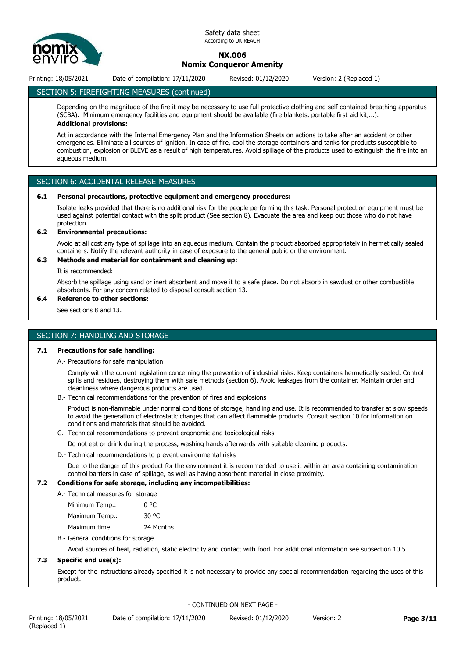

# **NX.006 Nomix Conqueror Amenity**

Printing: 18/05/2021 Date of compilation: 17/11/2020 Revised: 01/12/2020 Version: 2 (Replaced 1)

# SECTION 5: FIREFIGHTING MEASURES (continued)

Depending on the magnitude of the fire it may be necessary to use full protective clothing and self-contained breathing apparatus (SCBA). Minimum emergency facilities and equipment should be available (fire blankets, portable first aid kit,...). **Additional provisions:**

Act in accordance with the Internal Emergency Plan and the Information Sheets on actions to take after an accident or other emergencies. Eliminate all sources of ignition. In case of fire, cool the storage containers and tanks for products susceptible to combustion, explosion or BLEVE as a result of high temperatures. Avoid spillage of the products used to extinguish the fire into an aqueous medium.

# SECTION 6: ACCIDENTAL RELEASE MEASURES

#### **6.1 Personal precautions, protective equipment and emergency procedures:**

Isolate leaks provided that there is no additional risk for the people performing this task. Personal protection equipment must be used against potential contact with the spilt product (See section 8). Evacuate the area and keep out those who do not have protection.

#### **6.2 Environmental precautions:**

Avoid at all cost any type of spillage into an aqueous medium. Contain the product absorbed appropriately in hermetically sealed containers. Notify the relevant authority in case of exposure to the general public or the environment.

#### **6.3 Methods and material for containment and cleaning up:**

It is recommended:

Absorb the spillage using sand or inert absorbent and move it to a safe place. Do not absorb in sawdust or other combustible absorbents. For any concern related to disposal consult section 13.

## **6.4 Reference to other sections:**

See sections 8 and 13.

# SECTION 7: HANDLING AND STORAGE

#### **7.1 Precautions for safe handling:**

A.- Precautions for safe manipulation

Comply with the current legislation concerning the prevention of industrial risks. Keep containers hermetically sealed. Control spills and residues, destroying them with safe methods (section 6). Avoid leakages from the container. Maintain order and cleanliness where dangerous products are used.

B.- Technical recommendations for the prevention of fires and explosions

Product is non-flammable under normal conditions of storage, handling and use. It is recommended to transfer at slow speeds to avoid the generation of electrostatic charges that can affect flammable products. Consult section 10 for information on conditions and materials that should be avoided.

C.- Technical recommendations to prevent ergonomic and toxicological risks

Do not eat or drink during the process, washing hands afterwards with suitable cleaning products.

D.- Technical recommendations to prevent environmental risks

Due to the danger of this product for the environment it is recommended to use it within an area containing contamination control barriers in case of spillage, as well as having absorbent material in close proximity.

# **7.2 Conditions for safe storage, including any incompatibilities:**

A.- Technical measures for storage

| Minimum Temp.: | 0 °C  |
|----------------|-------|
| Maximum Temp.: | 30 °C |

Maximum time: 24 Months

B.- General conditions for storage

Avoid sources of heat, radiation, static electricity and contact with food. For additional information see subsection 10.5

# **7.3 Specific end use(s):**

Except for the instructions already specified it is not necessary to provide any special recommendation regarding the uses of this product.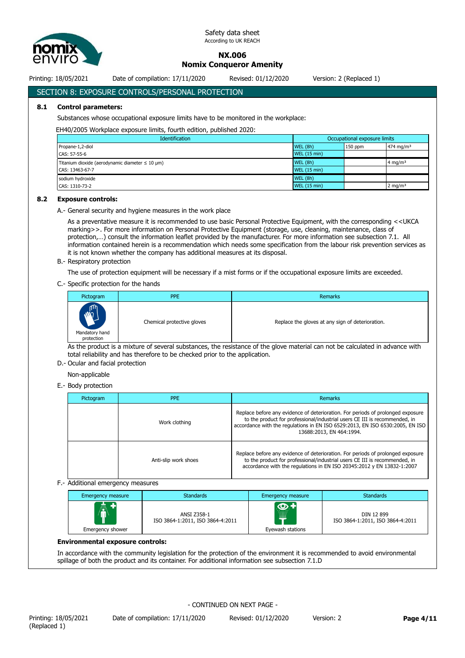

**NX.006**

**Nomix Conqueror Amenity**

Printing: 18/05/2021 Date of compilation: 17/11/2020 Revised: 01/12/2020 Version: 2 (Replaced 1)

# SECTION 8: EXPOSURE CONTROLS/PERSONAL PROTECTION

#### **8.1 Control parameters:**

Substances whose occupational exposure limits have to be monitored in the workplace:

#### EH40/2005 Workplace exposure limits, fourth edition, published 2020:

| <b>Identification</b>                                    | Occupational exposure limits |           |                       |  |
|----------------------------------------------------------|------------------------------|-----------|-----------------------|--|
| Propane-1,2-diol                                         | WEL(8h)                      | $150$ ppm | 474 mg/m <sup>3</sup> |  |
| CAS: 57-55-6                                             | <b>WEL (15 min)</b>          |           |                       |  |
| Titanium dioxide (aerodynamic diameter $\leq 10 \mu m$ ) | WEL(8h)                      |           | 4 mg/m <sup>3</sup>   |  |
| CAS: 13463-67-7                                          | <b>WEL (15 min)</b>          |           |                       |  |
| sodium hydroxide                                         | WEL(8h)                      |           |                       |  |
| CAS: 1310-73-2                                           | <b>WEL (15 min)</b>          |           | $2 \text{ mg/m}^3$    |  |

#### **8.2 Exposure controls:**

A.- General security and hygiene measures in the work place

As a preventative measure it is recommended to use basic Personal Protective Equipment, with the corresponding <<UKCA marking>>. For more information on Personal Protective Equipment (storage, use, cleaning, maintenance, class of protection,…) consult the information leaflet provided by the manufacturer. For more information see subsection 7.1. All information contained herein is a recommendation which needs some specification from the labour risk prevention services as it is not known whether the company has additional measures at its disposal.

B.- Respiratory protection

The use of protection equipment will be necessary if a mist forms or if the occupational exposure limits are exceeded.

C.- Specific protection for the hands

| Pictogram                                       | <b>PPE</b>                 | Remarks                                          |
|-------------------------------------------------|----------------------------|--------------------------------------------------|
| <b>AND</b><br>V<br>Mandatory hand<br>protection | Chemical protective gloves | Replace the gloves at any sign of deterioration. |

As the product is a mixture of several substances, the resistance of the glove material can not be calculated in advance with total reliability and has therefore to be checked prior to the application.

#### D.- Ocular and facial protection

Non-applicable

E.- Body protection

| Pictogram | <b>PPE</b>           | <b>Remarks</b>                                                                                                                                                                                                                                                             |
|-----------|----------------------|----------------------------------------------------------------------------------------------------------------------------------------------------------------------------------------------------------------------------------------------------------------------------|
|           | Work clothing        | Replace before any evidence of deterioration. For periods of prolonged exposure<br>to the product for professional/industrial users CE III is recommended, in<br>accordance with the regulations in EN ISO 6529:2013, EN ISO 6530:2005, EN ISO<br>13688:2013, EN 464:1994. |
|           | Anti-slip work shoes | Replace before any evidence of deterioration. For periods of prolonged exposure<br>to the product for professional/industrial users CE III is recommended, in<br>accordance with the regulations in EN ISO 20345:2012 y EN 13832-1:2007                                    |

#### F.- Additional emergency measures

| Emergency measure          | <b>Standards</b>                                | Emergency measure              | <b>Standards</b>                               |
|----------------------------|-------------------------------------------------|--------------------------------|------------------------------------------------|
| $\ddot{\hat{\bm{\theta}}}$ | ANSI Z358-1<br>ISO 3864-1:2011, ISO 3864-4:2011 | $\bm{\Phi}$ +<br>.<br><b>E</b> | DIN 12 899<br>ISO 3864-1:2011, ISO 3864-4:2011 |
| Emergency shower           |                                                 | Eyewash stations               |                                                |

#### **Environmental exposure controls:**

In accordance with the community legislation for the protection of the environment it is recommended to avoid environmental spillage of both the product and its container. For additional information see subsection 7.1.D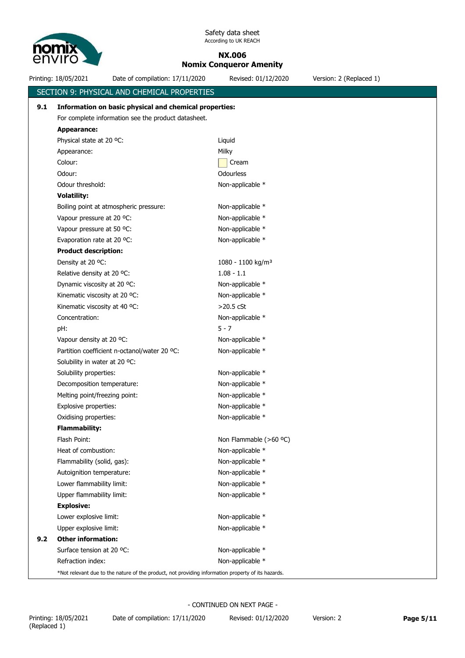

# **NX.006**

**Nomix Conqueror Amenity**

Printing: 18/05/2021 Date of compilation: 17/11/2020 Revised: 01/12/2020 Version: 2 (Replaced 1) SECTION 9: PHYSICAL AND CHEMICAL PROPERTIES **9.1 Information on basic physical and chemical properties:** For complete information see the product datasheet. **Appearance:** Physical state at 20 °C: Liquid Appearance: Milky Milky Colour: Colour: Colour: Colour: Colour: Colour: Colour: Colour: Colour: Colour: Colour: Colour: Colou Odour: Odourless Odour threshold:  $\blacksquare$  Non-applicable \* **Volatility:** Boiling point at atmospheric pressure: Non-applicable \* Vapour pressure at 20 °C: Non-applicable \* Vapour pressure at 50 °C: Non-applicable \* Evaporation rate at 20 °C: Non-applicable \* **Product description:** Density at 20 °C: 1080 - 1100 kg/m<sup>3</sup> Relative density at 20 °C:  $1.08 - 1.1$ Dynamic viscosity at 20 °C: Non-applicable \* Kinematic viscosity at 20 °C: Non-applicable \* Kinematic viscosity at 40 °C:  $>$ 20.5 cSt Concentration: Non-applicable \* pH: 5 - 7 Vapour density at 20 °C: Non-applicable \* Partition coefficient n-octanol/water 20 °C: Non-applicable \* Solubility in water at 20 °C: Solubility properties: Non-applicable \* Decomposition temperature: Non-applicable \* Melting point/freezing point: Non-applicable \* Explosive properties: Non-applicable \* Oxidising properties: Non-applicable \* **Flammability:** Flash Point: Non Flammable (>60 °C) Heat of combustion: Non-applicable \* Flammability (solid, gas): Non-applicable \* Autoignition temperature: Non-applicable \* Lower flammability limit: Non-applicable \* Upper flammability limit: Non-applicable \* **Explosive:** Lower explosive limit: Non-applicable \* Upper explosive limit: Non-applicable \* **9.2 Other information:** Surface tension at 20 °C: Non-applicable \* Refraction index: Non-applicable \* \*Not relevant due to the nature of the product, not providing information property of its hazards.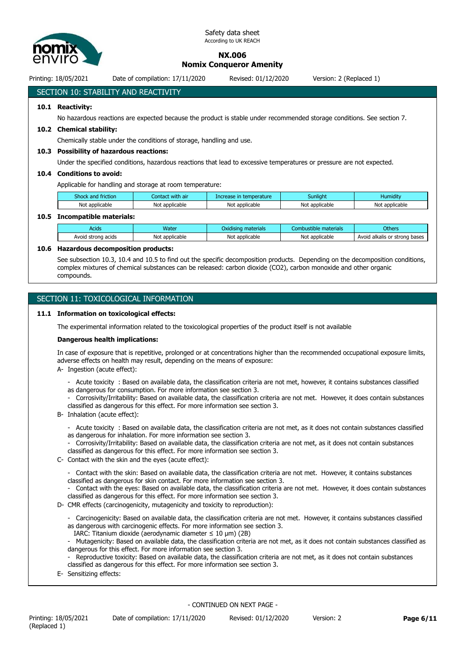

# **NX.006**

**Nomix Conqueror Amenity**

Printing: 18/05/2021 Date of compilation: 17/11/2020 Revised: 01/12/2020 Version: 2 (Replaced 1)

# SECTION 10: STABILITY AND REACTIVITY

# **10.1 Reactivity:**

No hazardous reactions are expected because the product is stable under recommended storage conditions. See section 7.

#### **10.2 Chemical stability:**

Chemically stable under the conditions of storage, handling and use.

#### **10.3 Possibility of hazardous reactions:**

Under the specified conditions, hazardous reactions that lead to excessive temperatures or pressure are not expected.

#### **10.4 Conditions to avoid:**

Applicable for handling and storage at room temperature:

| : with air<br>Shock<br>Iontact<br><b>friction</b><br>and : |                | temperature.<br>Increase | <b>Sunlight</b> | $\cdots$<br>Humidity |
|------------------------------------------------------------|----------------|--------------------------|-----------------|----------------------|
| Not applicable                                             | Not applicable | Not applicable           | Not applicable  | Not applicable       |

#### **10.5 Incompatible materials:**

| Acids                    | Water               | .<br>materials<br>Oxidisina    | materials<br>Combustible : | Others                              |
|--------------------------|---------------------|--------------------------------|----------------------------|-------------------------------------|
| Avoid<br>strona<br>acids | Not<br>: applicable | applicable <sup>.</sup><br>Not | Not<br>* applicable        | Avoid<br>bases<br>alkalis or strong |

#### **10.6 Hazardous decomposition products:**

See subsection 10.3, 10.4 and 10.5 to find out the specific decomposition products. Depending on the decomposition conditions, complex mixtures of chemical substances can be released: carbon dioxide (CO2), carbon monoxide and other organic compounds.

# SECTION 11: TOXICOLOGICAL INFORMATION

#### **11.1 Information on toxicological effects:**

The experimental information related to the toxicological properties of the product itself is not available

#### **Dangerous health implications:**

In case of exposure that is repetitive, prolonged or at concentrations higher than the recommended occupational exposure limits, adverse effects on health may result, depending on the means of exposure:

- A- Ingestion (acute effect):
	- Acute toxicity : Based on available data, the classification criteria are not met, however, it contains substances classified as dangerous for consumption. For more information see section 3.
	- Corrosivity/Irritability: Based on available data, the classification criteria are not met. However, it does contain substances classified as dangerous for this effect. For more information see section 3.
- B- Inhalation (acute effect):
	- Acute toxicity : Based on available data, the classification criteria are not met, as it does not contain substances classified as dangerous for inhalation. For more information see section 3.
	- Corrosivity/Irritability: Based on available data, the classification criteria are not met, as it does not contain substances classified as dangerous for this effect. For more information see section 3.
- C- Contact with the skin and the eyes (acute effect):
	- Contact with the skin: Based on available data, the classification criteria are not met. However, it contains substances classified as dangerous for skin contact. For more information see section 3.
	- Contact with the eyes: Based on available data, the classification criteria are not met. However, it does contain substances classified as dangerous for this effect. For more information see section 3.
- D- CMR effects (carcinogenicity, mutagenicity and toxicity to reproduction):
	- Carcinogenicity: Based on available data, the classification criteria are not met. However, it contains substances classified as dangerous with carcinogenic effects. For more information see section 3.
	- IARC: Titanium dioxide (aerodynamic diameter  $\leq 10$  µm) (2B)
	- Mutagenicity: Based on available data, the classification criteria are not met, as it does not contain substances classified as dangerous for this effect. For more information see section 3.
	- Reproductive toxicity: Based on available data, the classification criteria are not met, as it does not contain substances classified as dangerous for this effect. For more information see section 3.
- E- Sensitizing effects: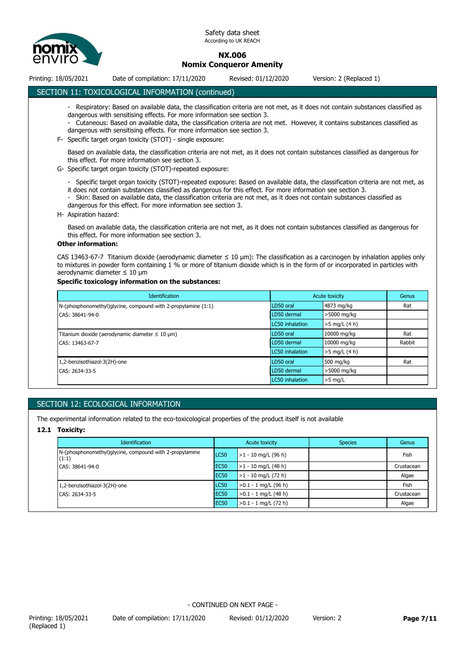

# **NX.006 Nomix Conqueror Amenity**

Printing: 18/05/2021 Date of compilation: 17/11/2020 Revised: 01/12/2020 Version: 2 (Replaced 1)

# SECTION 11: TOXICOLOGICAL INFORMATION (continued)

- Respiratory: Based on available data, the classification criteria are not met, as it does not contain substances classified as dangerous with sensitising effects. For more information see section 3.

- Cutaneous: Based on available data, the classification criteria are not met. However, it contains substances classified as dangerous with sensitising effects. For more information see section 3.

F- Specific target organ toxicity (STOT) - single exposure:

Based on available data, the classification criteria are not met, as it does not contain substances classified as dangerous for this effect. For more information see section 3.

- G- Specific target organ toxicity (STOT)-repeated exposure:
	- Specific target organ toxicity (STOT)-repeated exposure: Based on available data, the classification criteria are not met, as it does not contain substances classified as dangerous for this effect. For more information see section 3.
	- Skin: Based on available data, the classification criteria are not met, as it does not contain substances classified as dangerous for this effect. For more information see section 3.
- H- Aspiration hazard:

Based on available data, the classification criteria are not met, as it does not contain substances classified as dangerous for this effect. For more information see section 3.

#### **Other information:**

CAS 13463-67-7 Titanium dioxide (aerodynamic diameter  $\leq 10 \text{ }\mu\text{m}$ ): The classification as a carcinogen by inhalation applies only to mixtures in powder form containing 1 % or more of titanium dioxide which is in the form of or incorporated in particles with aerodynamic diameter ≤ 10 μm

#### **Specific toxicology information on the substances:**

| <b>Identification</b>                                         |                        | Acute toxicity  | Genus  |
|---------------------------------------------------------------|------------------------|-----------------|--------|
| N-(phosphonomethyl)glycine, compound with 2-propylamine (1:1) | LD50 oral              | 4873 mg/kg      | Rat    |
| CAS: 38641-94-0                                               | LD50 dermal            | >5000 mg/kg     |        |
|                                                               | <b>LC50</b> inhalation | $>5$ mg/L (4 h) |        |
| Titanium dioxide (aerodynamic diameter $\leq 10 \mu m$ )      | LD50 oral              | 10000 mg/kg     | Rat    |
| CAS: 13463-67-7                                               | LD50 dermal            | 10000 mg/kg     | Rabbit |
|                                                               | LC50 inhalation        | $>5$ mg/L (4 h) |        |
| 1,2-benzisothiazol-3(2H)-one                                  | LD50 oral              | 500 mg/kg       | Rat    |
| CAS: 2634-33-5                                                | LD50 dermal            | >5000 mg/kg     |        |
|                                                               | LC50 inhalation        | $>5$ mg/L       |        |

# SECTION 12: ECOLOGICAL INFORMATION

The experimental information related to the eco-toxicological properties of the product itself is not available

#### **12.1 Toxicity:**

| <b>Identification</b>                                            |                  | Acute toxicity              | <b>Species</b> | Genus      |
|------------------------------------------------------------------|------------------|-----------------------------|----------------|------------|
| N-(phosphonomethyl)glycine, compound with 2-propylamine<br>(1:1) | LC50             | $\vert$ >1 - 10 mg/L (96 h) |                | Fish       |
| CAS: 38641-94-0                                                  | EC <sub>50</sub> | $\vert$ >1 - 10 mg/L (48 h) |                | Crustacean |
|                                                                  | EC <sub>50</sub> | $>1 - 10$ mg/L (72 h)       |                | Algae      |
| 1,2-benzisothiazol-3(2H)-one                                     | LC50             | $>0.1 - 1$ mg/L (96 h)      |                | Fish       |
| CAS: 2634-33-5                                                   | EC <sub>50</sub> | $>0.1 - 1$ mg/L (48 h)      |                | Crustacean |
|                                                                  | <b>EC50</b>      | $>0.1 - 1$ mg/L (72 h)      |                | Algae      |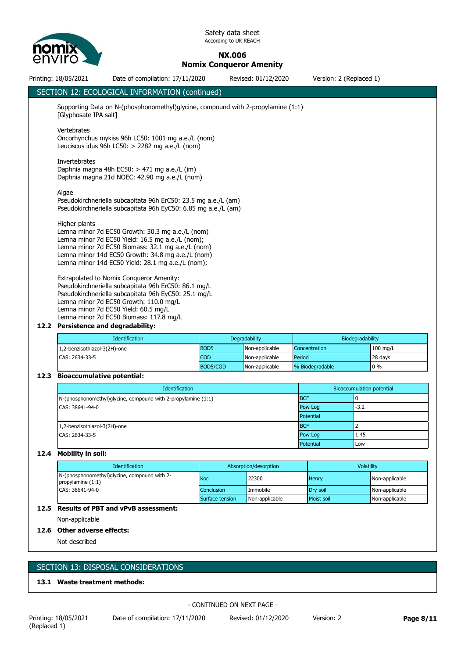

**NX.006**

**Nomix Conqueror Amenity**

Printing: 18/05/2021 Date of compilation: 17/11/2020 Revised: 01/12/2020 Version: 2 (Replaced 1) SECTION 12: ECOLOGICAL INFORMATION (continued) Supporting Data on N-(phosphonomethyl)glycine, compound with 2-propylamine (1:1) [Glyphosate IPA salt] Vertebrates Oncorhynchus mykiss 96h LC50: 1001 mg a.e./L (nom) Leuciscus idus 96h LC50: > 2282 mg a.e./L (nom) Invertebrates Daphnia magna 48h EC50: > 471 mg a.e./L (im) Daphnia magna 21d NOEC: 42.90 mg a.e./L (nom) Algae Pseudokirchneriella subcapitata 96h ErC50: 23.5 mg a.e./L (am) Pseudokirchneriella subcapitata 96h EyC50: 6.85 mg a.e./L (am) Higher plants Lemna minor 7d EC50 Growth: 30.3 mg a.e./L (nom) Lemna minor 7d EC50 Yield: 16.5 mg a.e./L (nom); Lemna minor 7d EC50 Biomass: 32.1 mg a.e./L (nom) Lemna minor 14d EC50 Growth: 34.8 mg a.e./L (nom) Lemna minor 14d EC50 Yield: 28.1 mg a.e./L (nom); Extrapolated to Nomix Conqueror Amenity: Pseudokirchneriella subcapitata 96h ErC50: 86.1 mg/L Pseudokirchneriella subcapitata 96h EyC50: 25.1 mg/L Lemna minor 7d EC50 Growth: 110.0 mg/L Lemna minor 7d EC50 Yield: 60.5 mg/L Lemna minor 7d EC50 Biomass: 117.8 mg/L **12.2 Persistence and degradability:** Identification **Degradability Degradability Degradability Biodegradability Biodegradability** 1,2-benzisothiazol-3(2H)-one BOD5 Non-applicable Concentration 100 mg/L CAS: 2634-33-5 COD Non-applicable Period 28 days BOD5/COD Non-applicable % Biodegradable 0 % **12.3 Bioaccumulative potential: Identification** Bioaccumulation potential N-(phosphonomethyl)glycine, compound with 2-propylamine (1:1) BCF BCF 800 BCF 0

CAS: 38641-94-0 **Pow Log -3.2** Potential 1,2-benzisothiazol-3(2H)-one BCF CAS: 2634-33-5 Pow Log 1.45 Potential Low

# **12.4 Mobility in soil:**

| <b>Identification</b>                                               | Absorption/desorption |                | <b>Volatility</b> |                |
|---------------------------------------------------------------------|-----------------------|----------------|-------------------|----------------|
| N-(phosphonomethyl)glycine, compound with 2-<br>propylamine $(1:1)$ | Koc                   | 22300          | <b>Henry</b>      | Non-applicable |
| CAS: 38641-94-0                                                     | <b>Conclusion</b>     | Immobile       | Drv soil          | Non-applicable |
|                                                                     | Surface tension       | Non-applicable | Moist soil        | Non-applicable |

# **12.5 Results of PBT and vPvB assessment:**

Non-applicable

# **12.6 Other adverse effects:**

Not described

# SECTION 13: DISPOSAL CONSIDERATIONS

# **13.1 Waste treatment methods:**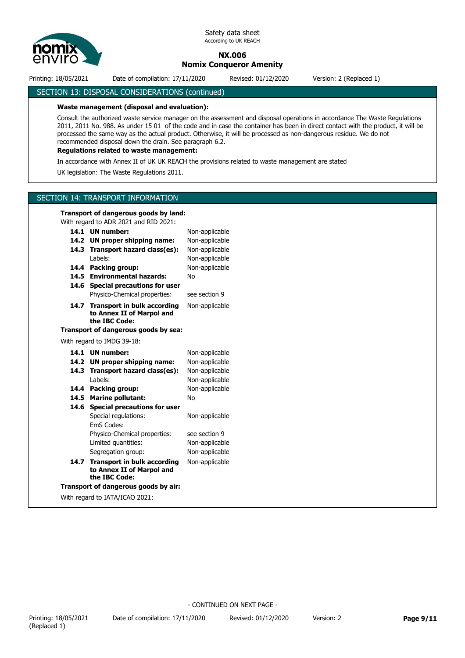

# **NX.006 Nomix Conqueror Amenity**

Printing: 18/05/2021 Date of compilation: 17/11/2020 Revised: 01/12/2020 Version: 2 (Replaced 1)

SECTION 13: DISPOSAL CONSIDERATIONS (continued)

#### **Waste management (disposal and evaluation):**

Consult the authorized waste service manager on the assessment and disposal operations in accordance The Waste Regulations 2011, 2011 No. 988. As under 15 01 of the code and in case the container has been in direct contact with the product, it will be processed the same way as the actual product. Otherwise, it will be processed as non-dangerous residue. We do not recommended disposal down the drain. See paragraph 6.2.

# **Regulations related to waste management:**

In accordance with Annex II of UK UK REACH the provisions related to waste management are stated

UK legislation: The Waste Regulations 2011.

#### SECTION 14: TRANSPORT INFORMATION

#### **Transport of dangerous goods by land:**

With regard to ADR 2021 and RID 2021:

|                                      | 14.1 UN number:                                                                  | Non-applicable |  |  |  |  |
|--------------------------------------|----------------------------------------------------------------------------------|----------------|--|--|--|--|
|                                      | 14.2 UN proper shipping name:                                                    | Non-applicable |  |  |  |  |
| 14.3                                 | Transport hazard class(es):                                                      | Non-applicable |  |  |  |  |
|                                      | I abels:                                                                         | Non-applicable |  |  |  |  |
| 14.4                                 | <b>Packing group:</b>                                                            | Non-applicable |  |  |  |  |
|                                      | 14.5 Environmental hazards:                                                      | No             |  |  |  |  |
| 14.6                                 | <b>Special precautions for user</b>                                              |                |  |  |  |  |
|                                      | Physico-Chemical properties:                                                     | see section 9  |  |  |  |  |
| 14.7                                 | <b>Transport in bulk according</b><br>to Annex II of Marpol and<br>the IBC Code: | Non-applicable |  |  |  |  |
| Transport of dangerous goods by sea: |                                                                                  |                |  |  |  |  |
| With regard to IMDG 39-18:           |                                                                                  |                |  |  |  |  |
| 14.1                                 | <b>UN</b> number:                                                                | Non-applicable |  |  |  |  |
|                                      | 14.2 UN proper shipping name:                                                    | Non-applicable |  |  |  |  |
| 14.3                                 | Transport hazard class(es):                                                      | Non-applicable |  |  |  |  |
|                                      | Labels:                                                                          | Non-applicable |  |  |  |  |
| 14.4                                 | Packing group:                                                                   | Non-applicable |  |  |  |  |
|                                      | 14.5 Marine pollutant:                                                           | <b>No</b>      |  |  |  |  |
| 14.6                                 | <b>Special precautions for user</b>                                              |                |  |  |  |  |
|                                      | Special regulations:                                                             | Non-applicable |  |  |  |  |
|                                      | <b>FmS Codes:</b>                                                                |                |  |  |  |  |
|                                      | Physico-Chemical properties:                                                     | see section 9  |  |  |  |  |
|                                      | Limited quantities:                                                              | Non-applicable |  |  |  |  |
|                                      | Segregation group:                                                               | Non-applicable |  |  |  |  |
| 14.7                                 | <b>Transport in bulk according</b><br>to Annex II of Marpol and<br>the IBC Code: | Non-applicable |  |  |  |  |
| Transport of dangerous goods by air: |                                                                                  |                |  |  |  |  |
|                                      | With regard to IATA/ICAO 2021:                                                   |                |  |  |  |  |
|                                      |                                                                                  |                |  |  |  |  |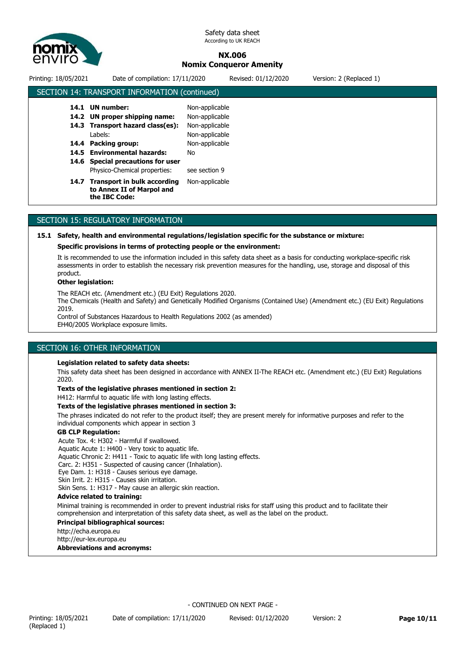

# **NX.006 Nomix Conqueror Amenity**

| Printing: 18/05/2021 | Date of compilation: 17/11/2020                                                  |                                  | Revised: 01/12/2020 | Version: 2 (Replaced 1) |
|----------------------|----------------------------------------------------------------------------------|----------------------------------|---------------------|-------------------------|
|                      | SECTION 14: TRANSPORT INFORMATION (continued)                                    |                                  |                     |                         |
| 14.1                 | UN number:<br>14.2 UN proper shipping name:                                      | Non-applicable<br>Non-applicable |                     |                         |
| 14.3                 | Transport hazard class(es):<br>Labels:                                           | Non-applicable<br>Non-applicable |                     |                         |
| 14.4                 | Packing group:<br>14.5 Environmental hazards:                                    | Non-applicable<br>No             |                     |                         |
|                      | 14.6 Special precautions for user<br>Physico-Chemical properties:                | see section 9                    |                     |                         |
| 14.7                 | <b>Transport in bulk according</b><br>to Annex II of Marpol and<br>the IBC Code: | Non-applicable                   |                     |                         |
|                      |                                                                                  |                                  |                     |                         |

# SECTION 15: REGULATORY INFORMATION

## **15.1 Safety, health and environmental regulations/legislation specific for the substance or mixture:**

#### **Specific provisions in terms of protecting people or the environment:**

It is recommended to use the information included in this safety data sheet as a basis for conducting workplace-specific risk assessments in order to establish the necessary risk prevention measures for the handling, use, storage and disposal of this product.

#### **Other legislation:**

The REACH etc. (Amendment etc.) (EU Exit) Regulations 2020.

The Chemicals (Health and Safety) and Genetically Modified Organisms (Contained Use) (Amendment etc.) (EU Exit) Regulations 2019.

Control of Substances Hazardous to Health Regulations 2002 (as amended) EH40/2005 Workplace exposure limits.

# SECTION 16: OTHER INFORMATION

#### **Legislation related to safety data sheets:**

This safety data sheet has been designed in accordance with ANNEX II-The REACH etc. (Amendment etc.) (EU Exit) Regulations 2020.

#### **Texts of the legislative phrases mentioned in section 2:**

H412: Harmful to aquatic life with long lasting effects.

#### **Texts of the legislative phrases mentioned in section 3:**

The phrases indicated do not refer to the product itself; they are present merely for informative purposes and refer to the individual components which appear in section 3

#### **GB CLP Regulation:**

Acute Tox. 4: H302 - Harmful if swallowed. Aquatic Acute 1: H400 - Very toxic to aquatic life. Aquatic Chronic 2: H411 - Toxic to aquatic life with long lasting effects. Carc. 2: H351 - Suspected of causing cancer (Inhalation). Eye Dam. 1: H318 - Causes serious eye damage. Skin Irrit. 2: H315 - Causes skin irritation.

# Skin Sens. 1: H317 - May cause an allergic skin reaction.

#### **Advice related to training:**

Minimal training is recommended in order to prevent industrial risks for staff using this product and to facilitate their comprehension and interpretation of this safety data sheet, as well as the label on the product.

#### **Principal bibliographical sources:**

http://echa.europa.eu

http://eur-lex.europa.eu

**Abbreviations and acronyms:**